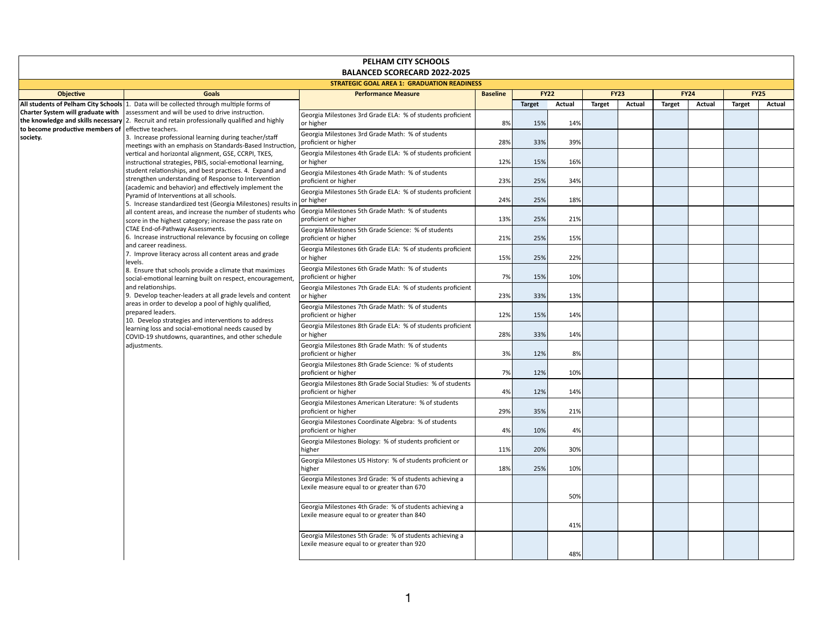## **PELHAM CITY SCHOOLS BALANCED SCORECARD 2022-2025**

| <b>STRATEGIC GOAL AREA 1: GRADUATION READINESS</b>                                                                                                                       |                                                                                                                                                                                                                                                                                                                                                                                                                                                                                        |                                                                                                        |                 |               |        |               |        |               |               |               |               |
|--------------------------------------------------------------------------------------------------------------------------------------------------------------------------|----------------------------------------------------------------------------------------------------------------------------------------------------------------------------------------------------------------------------------------------------------------------------------------------------------------------------------------------------------------------------------------------------------------------------------------------------------------------------------------|--------------------------------------------------------------------------------------------------------|-----------------|---------------|--------|---------------|--------|---------------|---------------|---------------|---------------|
| <b>Objective</b>                                                                                                                                                         | <b>Goals</b>                                                                                                                                                                                                                                                                                                                                                                                                                                                                           | <b>Performance Measure</b>                                                                             | <b>Baseline</b> | <b>FY22</b>   |        | <b>FY23</b>   |        | <b>FY24</b>   |               | <b>FY25</b>   |               |
|                                                                                                                                                                          | All students of Pelham City Schools 1. Data will be collected through multiple forms of                                                                                                                                                                                                                                                                                                                                                                                                |                                                                                                        |                 | <b>Target</b> | Actual | <b>Target</b> | Actual | <b>Target</b> | <b>Actual</b> | <b>Target</b> | <b>Actual</b> |
|                                                                                                                                                                          | <b>Charter System will graduate with</b> assessment and will be used to drive instruction.<br>$ $ the knowledge and skills necessary $ 2$ . Recruit and retain professionally qualified and highly                                                                                                                                                                                                                                                                                     | Georgia Milestones 3rd Grade ELA: % of students proficient<br>or higher                                | 8%              | 15%           | 14%    |               |        |               |               |               |               |
| to become productive members of effective teachers.<br>society.<br>meetings with an emphasis on Standards-Based Instruction,<br>Pyramid of Interventions at all schools. | 3. Increase professional learning during teacher/staff                                                                                                                                                                                                                                                                                                                                                                                                                                 | Georgia Milestones 3rd Grade Math: % of students<br>proficient or higher                               | 28%             | 33%           | 39%    |               |        |               |               |               |               |
|                                                                                                                                                                          | vertical and horizontal alignment, GSE, CCRPI, TKES,<br>instructional strategies, PBIS, social-emotional learning,<br>student relationships, and best practices. 4. Expand and<br>strengthen understanding of Response to Intervention<br>(academic and behavior) and effectively implement the                                                                                                                                                                                        | Georgia Milestones 4th Grade ELA: % of students proficient<br>or higher                                | 12%             | 15%           | 16%    |               |        |               |               |               |               |
|                                                                                                                                                                          |                                                                                                                                                                                                                                                                                                                                                                                                                                                                                        | Georgia Milestones 4th Grade Math: % of students<br>proficient or higher                               | 23%             | 25%           | 34%    |               |        |               |               |               |               |
|                                                                                                                                                                          |                                                                                                                                                                                                                                                                                                                                                                                                                                                                                        | Georgia Milestones 5th Grade ELA: % of students proficient<br>or higher                                | 24%             | 25%           | 18%    |               |        |               |               |               |               |
|                                                                                                                                                                          | 5. Increase standardized test (Georgia Milestones) results in<br>all content areas, and increase the number of students who<br>score in the highest category; increase the pass rate on                                                                                                                                                                                                                                                                                                | Georgia Milestones 5th Grade Math: % of students<br>proficient or higher                               | 13%             | 25%           | 21%    |               |        |               |               |               |               |
|                                                                                                                                                                          | CTAE End-of-Pathway Assessments.<br>6. Increase instructional relevance by focusing on college                                                                                                                                                                                                                                                                                                                                                                                         | Georgia Milestones 5th Grade Science: % of students<br>proficient or higher                            | 21%             | 25%           | 15%    |               |        |               |               |               |               |
|                                                                                                                                                                          | and career readiness.<br>7. Improve literacy across all content areas and grade                                                                                                                                                                                                                                                                                                                                                                                                        | Georgia Milestones 6th Grade ELA: % of students proficient<br>or higher                                | 15%             | 25%           | 22%    |               |        |               |               |               |               |
|                                                                                                                                                                          | levels.<br>8. Ensure that schools provide a climate that maximizes<br>social-emotional learning built on respect, encouragement,<br>and relationships.<br>9. Develop teacher-leaders at all grade levels and content<br>areas in order to develop a pool of highly qualified,<br>prepared leaders.<br>10. Develop strategies and interventions to address<br>learning loss and social-emotional needs caused by<br>COVID-19 shutdowns, quarantines, and other schedule<br>adjustments. | Georgia Milestones 6th Grade Math: % of students<br>proficient or higher                               | 7%              | 15%           | 10%    |               |        |               |               |               |               |
|                                                                                                                                                                          |                                                                                                                                                                                                                                                                                                                                                                                                                                                                                        | Georgia Milestones 7th Grade ELA: % of students proficient<br>or higher                                | 23%             | 33%           | 13%    |               |        |               |               |               |               |
|                                                                                                                                                                          |                                                                                                                                                                                                                                                                                                                                                                                                                                                                                        | Georgia Milestones 7th Grade Math: % of students<br>proficient or higher                               | 12%             | 15%           | 14%    |               |        |               |               |               |               |
|                                                                                                                                                                          |                                                                                                                                                                                                                                                                                                                                                                                                                                                                                        | Georgia Milestones 8th Grade ELA: % of students proficient<br>or higher                                | 28%             | 33%           | 14%    |               |        |               |               |               |               |
|                                                                                                                                                                          |                                                                                                                                                                                                                                                                                                                                                                                                                                                                                        | Georgia Milestones 8th Grade Math: % of students<br>proficient or higher                               | 3%              | 12%           | 8%     |               |        |               |               |               |               |
|                                                                                                                                                                          |                                                                                                                                                                                                                                                                                                                                                                                                                                                                                        | Georgia Milestones 8th Grade Science: % of students<br>proficient or higher                            | 7%              | 12%           | 10%    |               |        |               |               |               |               |
|                                                                                                                                                                          |                                                                                                                                                                                                                                                                                                                                                                                                                                                                                        | Georgia Milestones 8th Grade Social Studies: % of students<br>proficient or higher                     | 4%              | 12%           | 14%    |               |        |               |               |               |               |
|                                                                                                                                                                          |                                                                                                                                                                                                                                                                                                                                                                                                                                                                                        | Georgia Milestones American Literature: % of students<br>proficient or higher                          | 29%             | 35%           | 21%    |               |        |               |               |               |               |
|                                                                                                                                                                          |                                                                                                                                                                                                                                                                                                                                                                                                                                                                                        | Georgia Milestones Coordinate Algebra: % of students<br>proficient or higher                           | 4%              | 10%           | 4%     |               |        |               |               |               |               |
|                                                                                                                                                                          |                                                                                                                                                                                                                                                                                                                                                                                                                                                                                        | Georgia Milestones Biology: % of students proficient or<br>higher                                      | 11%             | 20%           | 30%    |               |        |               |               |               |               |
|                                                                                                                                                                          |                                                                                                                                                                                                                                                                                                                                                                                                                                                                                        | Georgia Milestones US History: % of students proficient or<br>higher                                   | 18%             | 25%           | 10%    |               |        |               |               |               |               |
|                                                                                                                                                                          |                                                                                                                                                                                                                                                                                                                                                                                                                                                                                        | Georgia Milestones 3rd Grade: % of students achieving a<br>Lexile measure equal to or greater than 670 |                 |               | 50%    |               |        |               |               |               |               |
|                                                                                                                                                                          |                                                                                                                                                                                                                                                                                                                                                                                                                                                                                        | Georgia Milestones 4th Grade: % of students achieving a<br>Lexile measure equal to or greater than 840 |                 |               | 41%    |               |        |               |               |               |               |
|                                                                                                                                                                          |                                                                                                                                                                                                                                                                                                                                                                                                                                                                                        | Georgia Milestones 5th Grade: % of students achieving a<br>Lexile measure equal to or greater than 920 |                 |               | 48%    |               |        |               |               |               |               |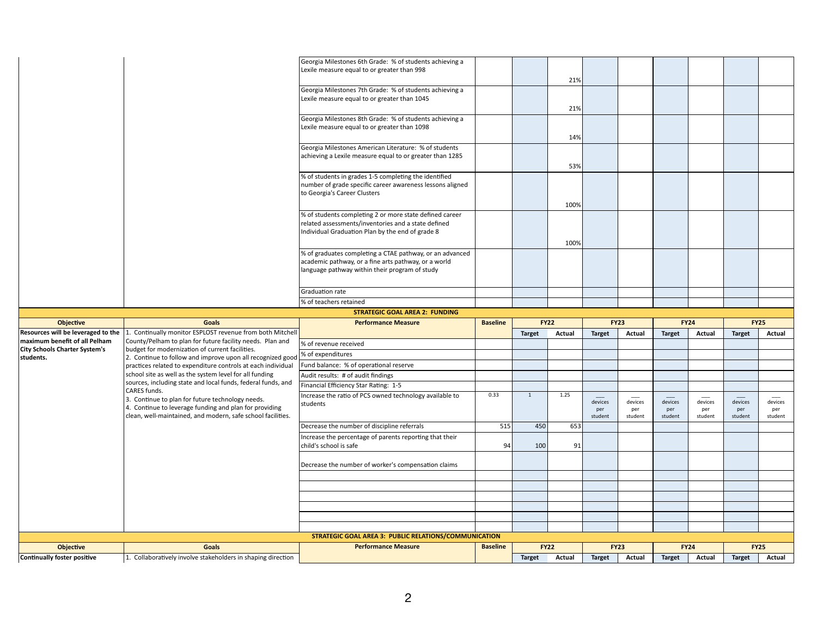|                                                        |                                                                                                                       | Georgia Milestones 8th Grade: % of students achieving a<br>Lexile measure equal to or greater than 1098           |                 |               |                       |                |                              |                              |                |                              |                |
|--------------------------------------------------------|-----------------------------------------------------------------------------------------------------------------------|-------------------------------------------------------------------------------------------------------------------|-----------------|---------------|-----------------------|----------------|------------------------------|------------------------------|----------------|------------------------------|----------------|
|                                                        |                                                                                                                       |                                                                                                                   |                 |               |                       |                |                              |                              |                |                              |                |
|                                                        |                                                                                                                       |                                                                                                                   |                 |               | 14%                   |                |                              |                              |                |                              |                |
|                                                        |                                                                                                                       | Georgia Milestones American Literature: % of students<br>achieving a Lexile measure equal to or greater than 1285 |                 |               |                       |                |                              |                              |                |                              |                |
|                                                        |                                                                                                                       |                                                                                                                   |                 |               | 53%                   |                |                              |                              |                |                              |                |
|                                                        |                                                                                                                       | % of students in grades 1-5 completing the identified                                                             |                 |               |                       |                |                              |                              |                |                              |                |
|                                                        |                                                                                                                       | number of grade specific career awareness lessons aligned<br>to Georgia's Career Clusters                         |                 |               |                       |                |                              |                              |                |                              |                |
|                                                        |                                                                                                                       |                                                                                                                   |                 |               | 100%                  |                |                              |                              |                |                              |                |
|                                                        |                                                                                                                       | % of students completing 2 or more state defined career                                                           |                 |               |                       |                |                              |                              |                |                              |                |
|                                                        |                                                                                                                       | related assessments/inventories and a state defined                                                               |                 |               |                       |                |                              |                              |                |                              |                |
|                                                        |                                                                                                                       | Individual Graduation Plan by the end of grade 8                                                                  |                 |               |                       |                |                              |                              |                |                              |                |
|                                                        |                                                                                                                       | % of graduates completing a CTAE pathway, or an advanced                                                          |                 |               | 100%                  |                |                              |                              |                |                              |                |
|                                                        |                                                                                                                       | academic pathway, or a fine arts pathway, or a world                                                              |                 |               |                       |                |                              |                              |                |                              |                |
|                                                        |                                                                                                                       | language pathway within their program of study                                                                    |                 |               |                       |                |                              |                              |                |                              |                |
|                                                        |                                                                                                                       | Graduation rate                                                                                                   |                 |               |                       |                |                              |                              |                |                              |                |
|                                                        |                                                                                                                       | % of teachers retained                                                                                            |                 |               |                       |                |                              |                              |                |                              |                |
|                                                        |                                                                                                                       |                                                                                                                   |                 |               |                       |                |                              |                              |                |                              |                |
|                                                        |                                                                                                                       |                                                                                                                   |                 |               |                       |                |                              |                              |                |                              |                |
| <b>Objective</b>                                       | <b>Goals</b>                                                                                                          | <b>STRATEGIC GOAL AREA 2: FUNDING</b><br><b>Performance Measure</b>                                               | <b>Baseline</b> |               | <b>FY22</b>           |                | <b>FY23</b>                  | <b>FY24</b>                  |                | <b>FY25</b>                  |                |
|                                                        | Resources will be leveraged to the 1. Continually monitor ESPLOST revenue from both Mitchell                          |                                                                                                                   |                 | <b>Target</b> | Actual                | <b>Target</b>  | <b>Actual</b>                | <b>Target</b>                | Actual         | <b>Target</b>                | Actual         |
| maximum benefit of all Pelham                          | County/Pelham to plan for future facility needs. Plan and                                                             | % of revenue received                                                                                             |                 |               |                       |                |                              |                              |                |                              |                |
| <b>City Schools Charter System's</b><br>students.      | budget for modernization of current facilities.<br>2. Continue to follow and improve upon all recognized good         | % of expenditures                                                                                                 |                 |               |                       |                |                              |                              |                |                              |                |
|                                                        | practices related to expenditure controls at each individual                                                          | Fund balance: % of operational reserve                                                                            |                 |               |                       |                |                              |                              |                |                              |                |
|                                                        | school site as well as the system level for all funding                                                               | Audit results: # of audit findings                                                                                |                 |               |                       |                |                              |                              |                |                              |                |
|                                                        | sources, including state and local funds, federal funds, and<br><b>CARES</b> funds.                                   | Financial Efficiency Star Rating: 1-5                                                                             |                 | 1             |                       |                |                              |                              |                |                              |                |
|                                                        | 3. Continue to plan for future technology needs.                                                                      | Increase the ratio of PCS owned technology available to<br>students                                               | 0.33            |               | 1.25                  | devices        | ____<br>devices              | devices                      | devices        | devices                      | devices        |
|                                                        | 4. Continue to leverage funding and plan for providing<br>clean, well-maintained, and modern, safe school facilities. |                                                                                                                   |                 |               |                       | per<br>student | per<br>student               | per<br>student               | per<br>student | per<br>student               | per<br>student |
|                                                        |                                                                                                                       | Decrease the number of discipline referrals                                                                       | 515             | 450           | 653                   |                |                              |                              |                |                              |                |
|                                                        |                                                                                                                       | Increase the percentage of parents reporting that their<br>child's school is safe                                 | 94              | 100           | 91                    |                |                              |                              |                |                              |                |
|                                                        |                                                                                                                       |                                                                                                                   |                 |               |                       |                |                              |                              |                |                              |                |
|                                                        |                                                                                                                       | Decrease the number of worker's compensation claims                                                               |                 |               |                       |                |                              |                              |                |                              |                |
|                                                        |                                                                                                                       |                                                                                                                   |                 |               |                       |                |                              |                              |                |                              |                |
|                                                        |                                                                                                                       |                                                                                                                   |                 |               |                       |                |                              |                              |                |                              |                |
|                                                        |                                                                                                                       |                                                                                                                   |                 |               |                       |                |                              |                              |                |                              |                |
|                                                        |                                                                                                                       |                                                                                                                   |                 |               |                       |                |                              |                              |                |                              |                |
|                                                        |                                                                                                                       |                                                                                                                   |                 |               |                       |                |                              |                              |                |                              |                |
|                                                        |                                                                                                                       | <b>STRATEGIC GOAL AREA 3: PUBLIC RELATIONS/COMMUNICATION</b>                                                      |                 |               |                       |                |                              |                              |                |                              |                |
| <b>Objective</b><br><b>Continually foster positive</b> | <b>Goals</b><br>. Collaboratively involve stakeholders in shaping direction                                           | <b>Performance Measure</b>                                                                                        | <b>Baseline</b> | <b>Target</b> | <b>FY22</b><br>Actual | <b>Target</b>  | <b>FY23</b><br><b>Actual</b> | <b>FY24</b><br><b>Target</b> | <b>Actual</b>  | <b>FY25</b><br><b>Target</b> | <b>Actual</b>  |